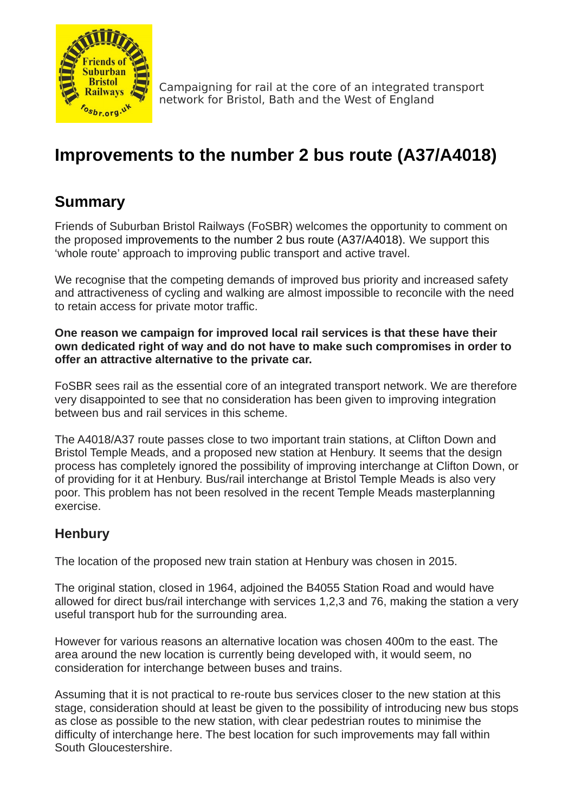

Campaigning for rail at the core of an integrated transport network for Bristol, Bath and the West of England

# **Improvements to the number 2 bus route (A37/A4018)**

## **Summary**

Friends of Suburban Bristol Railways (FoSBR) welcomes the opportunity to comment on the proposed improvements to the number 2 bus route (A37/A4018). We support this 'whole route' approach to improving public transport and active travel.

We recognise that the competing demands of improved bus priority and increased safety and attractiveness of cycling and walking are almost impossible to reconcile with the need to retain access for private motor traffic.

**One reason we campaign for improved local rail services is that these have their own dedicated right of way and do not have to make such compromises in order to offer an attractive alternative to the private car.** 

FoSBR sees rail as the essential core of an integrated transport network. We are therefore very disappointed to see that no consideration has been given to improving integration between bus and rail services in this scheme.

The A4018/A37 route passes close to two important train stations, at Clifton Down and Bristol Temple Meads, and a proposed new station at Henbury. It seems that the design process has completely ignored the possibility of improving interchange at Clifton Down, or of providing for it at Henbury. Bus/rail interchange at Bristol Temple Meads is also very poor. This problem has not been resolved in the recent Temple Meads masterplanning exercise.

### **Henbury**

The location of the proposed new train station at Henbury was chosen in 2015.

The original station, closed in 1964, adjoined the B4055 Station Road and would have allowed for direct bus/rail interchange with services 1,2,3 and 76, making the station a very useful transport hub for the surrounding area.

However for various reasons an alternative location was chosen 400m to the east. The area around the new location is currently being developed with, it would seem, no consideration for interchange between buses and trains.

Assuming that it is not practical to re-route bus services closer to the new station at this stage, consideration should at least be given to the possibility of introducing new bus stops as close as possible to the new station, with clear pedestrian routes to minimise the difficulty of interchange here. The best location for such improvements may fall within South Gloucestershire.